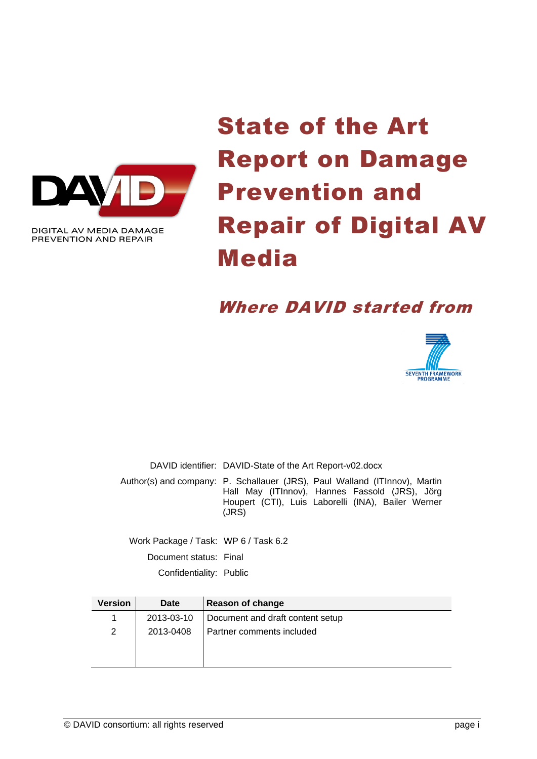

DIGITAL AV MEDIA DAMAGE PREVENTION AND REPAIR

# State of the Art Report on Damage Prevention and Repair of Digital AV Media

## Where DAVID started from



DAVID identifier: DAVID-State of the Art Report-v02.docx

Author(s) and company: P. Schallauer (JRS), Paul Walland (ITInnov), Martin Hall May (ITInnov), Hannes Fassold (JRS), Jörg Houpert (CTI), Luis Laborelli (INA), Bailer Werner (JRS)

Work Package / Task: WP 6 / Task 6.2 Document status: Final Confidentiality: Public

| <b>Version</b> | <b>Date</b> | Reason of change                 |
|----------------|-------------|----------------------------------|
|                | 2013-03-10  | Document and draft content setup |
| 2              | 2013-0408   | Partner comments included        |
|                |             |                                  |
|                |             |                                  |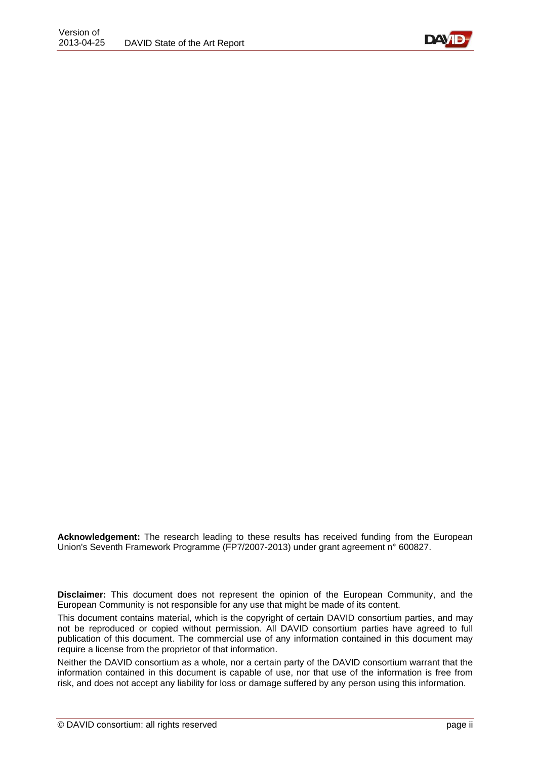

**Acknowledgement:** The research leading to these results has received funding from the European Union's Seventh Framework Programme (FP7/2007-2013) under grant agreement n° 600827.

**Disclaimer:** This document does not represent the opinion of the European Community, and the European Community is not responsible for any use that might be made of its content.

This document contains material, which is the copyright of certain DAVID consortium parties, and may not be reproduced or copied without permission. All DAVID consortium parties have agreed to full publication of this document. The commercial use of any information contained in this document may require a license from the proprietor of that information.

Neither the DAVID consortium as a whole, nor a certain party of the DAVID consortium warrant that the information contained in this document is capable of use, nor that use of the information is free from risk, and does not accept any liability for loss or damage suffered by any person using this information.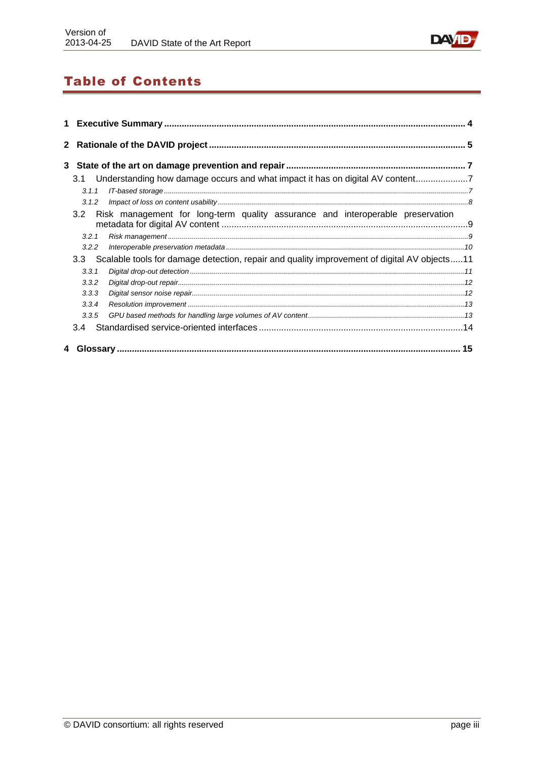

## **Table of Contents**

| 1 |       |                                                                                                 |  |
|---|-------|-------------------------------------------------------------------------------------------------|--|
|   |       |                                                                                                 |  |
|   |       |                                                                                                 |  |
|   | 3.1   |                                                                                                 |  |
|   | 3.1.1 |                                                                                                 |  |
|   | 3.1.2 |                                                                                                 |  |
|   | 3.2   | Risk management for long-term quality assurance and interoperable preservation                  |  |
|   | 3.2.1 |                                                                                                 |  |
|   | 3.2.2 |                                                                                                 |  |
|   |       | 3.3 Scalable tools for damage detection, repair and quality improvement of digital AV objects11 |  |
|   | 3.3.1 |                                                                                                 |  |
|   | 3.3.2 |                                                                                                 |  |
|   | 3.3.3 |                                                                                                 |  |
|   | 3.3.4 |                                                                                                 |  |
|   | 3.3.5 |                                                                                                 |  |
|   | 3.4   |                                                                                                 |  |
|   |       |                                                                                                 |  |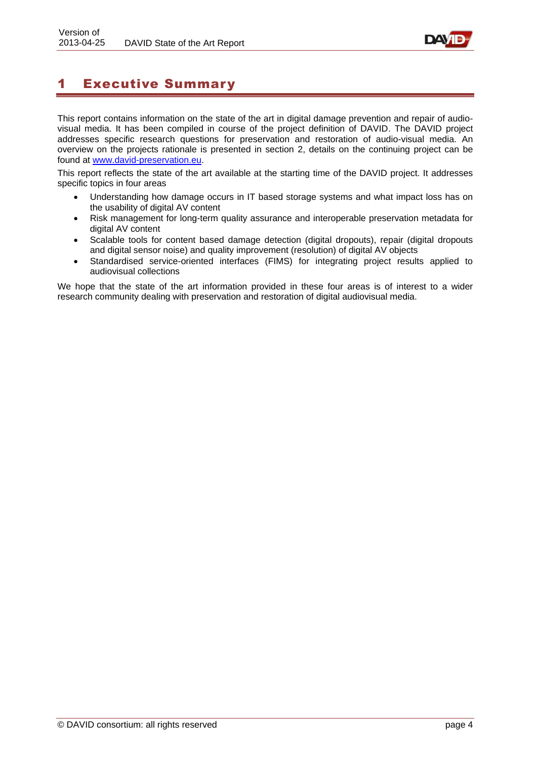

## <span id="page-3-0"></span>1 Executive Summary

This report contains information on the state of the art in digital damage prevention and repair of audiovisual media. It has been compiled in course of the project definition of DAVID. The DAVID project addresses specific research questions for preservation and restoration of audio-visual media. An overview on the projects rationale is presented in section [2,](#page-4-0) details on the continuing project can be found at [www.david-preservation.eu.](http://www.david-preservation.eu/)

This report reflects the state of the art available at the starting time of the DAVID project. It addresses specific topics in four areas

- Understanding how damage occurs in IT based storage systems and what impact loss has on the usability of digital AV content
- Risk management for long-term quality assurance and interoperable preservation metadata for digital AV content
- Scalable tools for content based damage detection (digital dropouts), repair (digital dropouts and digital sensor noise) and quality improvement (resolution) of digital AV objects
- Standardised service-oriented interfaces (FIMS) for integrating project results applied to audiovisual collections

We hope that the state of the art information provided in these four areas is of interest to a wider research community dealing with preservation and restoration of digital audiovisual media.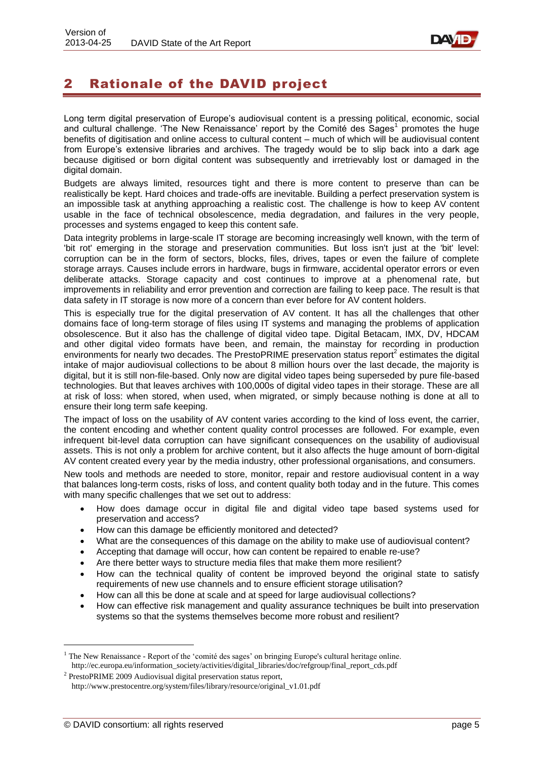

## <span id="page-4-0"></span>2 Rationale of the DAVID project

Long term digital preservation of Europe's audiovisual content is a pressing political, economic, social and cultural challenge. 'The New Renaissance' report by the Comité des Sages<sup>1</sup> promotes the huge benefits of digitisation and online access to cultural content – much of which will be audiovisual content from Europe's extensive libraries and archives. The tragedy would be to slip back into a dark age because digitised or born digital content was subsequently and irretrievably lost or damaged in the digital domain.

Budgets are always limited, resources tight and there is more content to preserve than can be realistically be kept. Hard choices and trade-offs are inevitable. Building a perfect preservation system is an impossible task at anything approaching a realistic cost. The challenge is how to keep AV content usable in the face of technical obsolescence, media degradation, and failures in the very people, processes and systems engaged to keep this content safe.

Data integrity problems in large-scale IT storage are becoming increasingly well known, with the term of 'bit rot' emerging in the storage and preservation communities. But loss isn't just at the 'bit' level: corruption can be in the form of sectors, blocks, files, drives, tapes or even the failure of complete storage arrays. Causes include errors in hardware, bugs in firmware, accidental operator errors or even deliberate attacks. Storage capacity and cost continues to improve at a phenomenal rate, but improvements in reliability and error prevention and correction are failing to keep pace. The result is that data safety in IT storage is now more of a concern than ever before for AV content holders.

This is especially true for the digital preservation of AV content. It has all the challenges that other domains face of long-term storage of files using IT systems and managing the problems of application obsolescence. But it also has the challenge of digital video tape. Digital Betacam, IMX, DV, HDCAM and other digital video formats have been, and remain, the mainstay for recording in production environments for nearly two decades. The PrestoPRIME preservation status report $^2$  estimates the digital intake of major audiovisual collections to be about 8 million hours over the last decade, the majority is digital, but it is still non-file-based. Only now are digital video tapes being superseded by pure file-based technologies. But that leaves archives with 100,000s of digital video tapes in their storage. These are all at risk of loss: when stored, when used, when migrated, or simply because nothing is done at all to ensure their long term safe keeping.

The impact of loss on the usability of AV content varies according to the kind of loss event, the carrier, the content encoding and whether content quality control processes are followed. For example, even infrequent bit-level data corruption can have significant consequences on the usability of audiovisual assets. This is not only a problem for archive content, but it also affects the huge amount of born-digital AV content created every year by the media industry, other professional organisations, and consumers.

New tools and methods are needed to store, monitor, repair and restore audiovisual content in a way that balances long-term costs, risks of loss, and content quality both today and in the future. This comes with many specific challenges that we set out to address:

- How does damage occur in digital file and digital video tape based systems used for preservation and access?
- How can this damage be efficiently monitored and detected?
- What are the consequences of this damage on the ability to make use of audiovisual content?
- Accepting that damage will occur, how can content be repaired to enable re-use?
- Are there better ways to structure media files that make them more resilient?
- How can the technical quality of content be improved beyond the original state to satisfy requirements of new use channels and to ensure efficient storage utilisation?
- How can all this be done at scale and at speed for large audiovisual collections?
- How can effective risk management and quality assurance techniques be built into preservation systems so that the systems themselves become more robust and resilient?

 $<sup>1</sup>$  The New Renaissance - Report of the 'comité des sages' on bringing Europe's cultural heritage online.</sup> [http://ec.europa.eu/information\\_society/activities/digital\\_libraries/doc/refgroup/final\\_report\\_cds.pdf](http://ec.europa.eu/information_society/activities/digital_libraries/doc/refgroup/final_report_cds.pdf)

<sup>&</sup>lt;sup>2</sup> PrestoPRIME 2009 Audiovisual digital preservation status repor[t,](http://www.prestocentre.org/system/files/library/resource/original_v1.01.pdf) [http://www.prestocentre.org/system/files/library/resource/original\\_v1.01.pdf](http://www.prestocentre.org/system/files/library/resource/original_v1.01.pdf)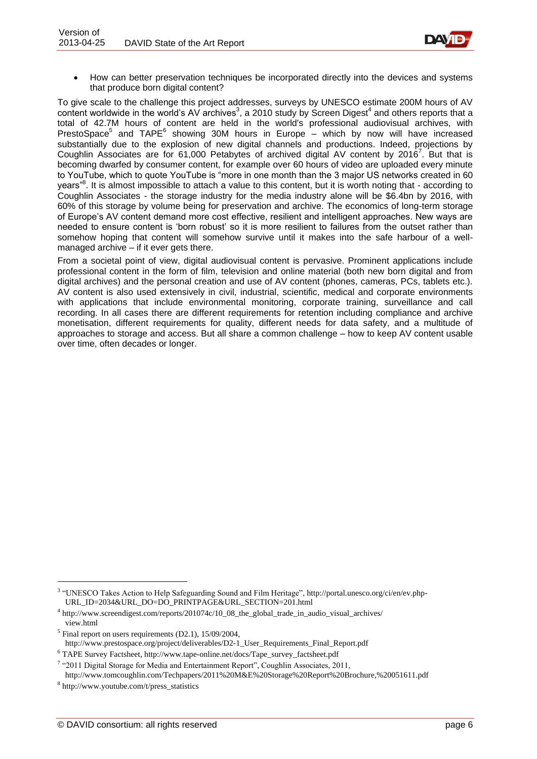

 How can better preservation techniques be incorporated directly into the devices and systems that produce born digital content?

To give scale to the challenge this project addresses, surveys by UNESCO estimate 200M hours of AV content worldwide in the world's AV archives<sup>3</sup>, a 2010 study by Screen Digest<sup>4</sup> and others reports that a total of 42.7M hours of content are held in the world's professional audiovisual archives, with PrestoSpace<sup>5</sup> and TAPE<sup>6</sup> showing 30M hours in Europe - which by now will have increased substantially due to the explosion of new digital channels and productions. Indeed, projections by Coughlin Associates are for 61,000 Petabytes of archived digital AV content by 2016<sup>7</sup>. But that is becoming dwarfed by consumer content, for example over 60 hours of video are uploaded every minute to YouTube, which to quote YouTube is "more in one month than the 3 major US networks created in 60 years<sup>8</sup>. It is almost impossible to attach a value to this content, but it is worth noting that - according to Coughlin Associates - the storage industry for the media industry alone will be \$6.4bn by 2016, with 60% of this storage by volume being for preservation and archive. The economics of long-term storage of Europe's AV content demand more cost effective, resilient and intelligent approaches. New ways are needed to ensure content is 'born robust' so it is more resilient to failures from the outset rather than somehow hoping that content will somehow survive until it makes into the safe harbour of a wellmanaged archive – if it ever gets there.

From a societal point of view, digital audiovisual content is pervasive. Prominent applications include professional content in the form of film, television and online material (both new born digital and from digital archives) and the personal creation and use of AV content (phones, cameras, PCs, tablets etc.). AV content is also used extensively in civil, industrial, scientific, medical and corporate environments with applications that include environmental monitoring, corporate training, surveillance and call recording. In all cases there are different requirements for retention including compliance and archive monetisation, different requirements for quality, different needs for data safety, and a multitude of approaches to storage and access. But all share a common challenge – how to keep AV content usable over time, often decades or longer.

<sup>&</sup>lt;sup>3</sup> "UNESCO Takes Action to Help Safeguarding Sound and Film Heritage", [http://portal.unesco.org/ci/en/ev.php-](http://portal.unesco.org/ci/en/ev.php-URL_ID=2034&URL_DO=DO_PRINTPAGE&URL_SECTION=201.html)[URL\\_ID=2034&URL\\_DO=DO\\_PRINTPAGE&URL\\_SECTION=201.html](http://portal.unesco.org/ci/en/ev.php-URL_ID=2034&URL_DO=DO_PRINTPAGE&URL_SECTION=201.html)

<sup>&</sup>lt;sup>4</sup> http://www.screendigest.com/reports/201074c/10\_08\_the\_global\_trade\_in\_audio\_visual\_archives/ view.html

 $<sup>5</sup>$  Final report on users requirements (D2.1), 15/09/2004,</sup> [http://www.prestospace.org/project/deliverables/D2-1\\_User\\_Requirements\\_Final\\_Report.pdf](http://www.prestospace.org/project/deliverables/D2-1_User_Requirements_Final_Report.pdf)

<sup>6</sup> TAPE Survey Factsheet, [http://www.tape-online.net/docs/Tape\\_survey\\_factsheet.pdf](http://www.tape-online.net/docs/Tape_survey_factsheet.pdf)

 $7$  "2011 Digital Storage for Media and Entertainment Report", Coughlin Associates, 2011, <http://www.tomcoughlin.com/Techpapers/2011%20M&E%20Storage%20Report%20Brochure,%20051611.pdf>

<sup>8</sup> [http://www.youtube.com/t/press\\_statistics](http://www.youtube.com/t/press_statistics)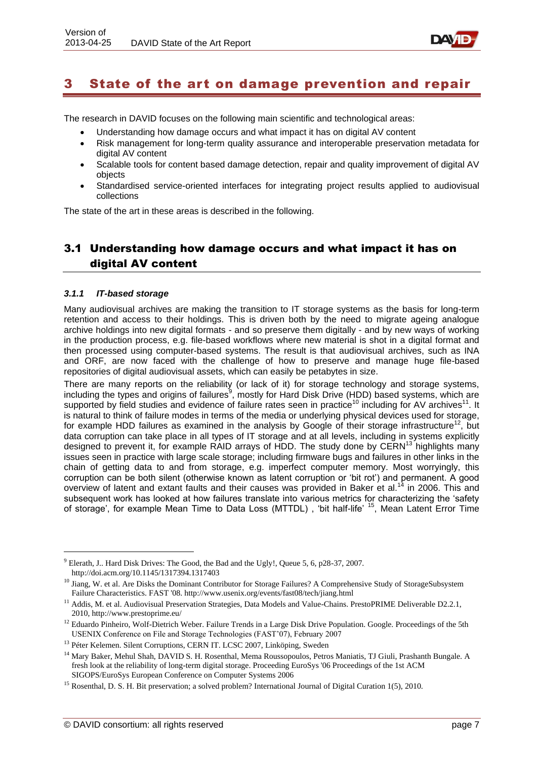

## <span id="page-6-0"></span>3 State of the art on damage prevention and repair

The research in DAVID focuses on the following main scientific and technological areas:

- Understanding how damage occurs and what impact it has on digital AV content
- Risk management for long-term quality assurance and interoperable preservation metadata for digital AV content
- Scalable tools for content based damage detection, repair and quality improvement of digital AV objects
- Standardised service-oriented interfaces for integrating project results applied to audiovisual collections

The state of the art in these areas is described in the following.

## <span id="page-6-1"></span>3.1 Understanding how damage occurs and what impact it has on digital AV content

#### <span id="page-6-2"></span>*3.1.1 IT-based storage*

1

Many audiovisual archives are making the transition to IT storage systems as the basis for long-term retention and access to their holdings. This is driven both by the need to migrate ageing analogue archive holdings into new digital formats - and so preserve them digitally - and by new ways of working in the production process, e.g. file-based workflows where new material is shot in a digital format and then processed using computer-based systems. The result is that audiovisual archives, such as INA and ORF, are now faced with the challenge of how to preserve and manage huge file-based repositories of digital audiovisual assets, which can easily be petabytes in size.

There are many reports on the reliability (or lack of it) for storage technology and storage systems, including the types and origins of failures<sup>9</sup>, mostly for Hard Disk Drive (HDD) based systems, which are supported by field studies and evidence of failure rates seen in practice<sup>10</sup> including for AV archives<sup>11</sup>. It is natural to think of failure modes in terms of the media or underlying physical devices used for storage, for example HDD failures as examined in the analysis by Google of their storage infrastructure<sup>12</sup>, but data corruption can take place in all types of IT storage and at all levels, including in systems explicitly designed to prevent it, for example RAID arrays of HDD. The study done by CERN<sup>13</sup> highlights many issues seen in practice with large scale storage; including firmware bugs and failures in other links in the chain of getting data to and from storage, e.g. imperfect computer memory. Most worryingly, this corruption can be both silent (otherwise known as latent corruption or 'bit rot') and permanent. A good overview of latent and extant faults and their causes was provided in Baker et al.<sup>14</sup> in 2006. This and subsequent work has looked at how failures translate into various metrics for characterizing the 'safety of storage', for example Mean Time to Data Loss (MTTDL), 'bit half-life' <sup>15</sup>, Mean Latent Error Time

<sup>9</sup> Elerath, J.. Hard Disk Drives: The Good, the Bad and the Ugly!, Queue 5, 6, p28-37, 2007. http://doi.acm.org/10.1145/1317394.1317403

<sup>&</sup>lt;sup>10</sup> Jiang, W. et al. Are Disks the Dominant Contributor for Storage Failures? A Comprehensive Study of StorageSubsystem Failure Characteristics. FAST '08. http://www.usenix.org/events/fast08/tech/jiang.html

<sup>&</sup>lt;sup>11</sup> Addis, M. et al. Audiovisual Preservation Strategies, Data Models and Value-Chains. PrestoPRIME Deliverable D2.2.1, 2010, http://www.prestoprime.eu/

<sup>&</sup>lt;sup>12</sup> Eduardo Pinheiro, Wolf-Dietrich Weber. Failure Trends in a Large Disk Drive Population. Google. Proceedings of the 5th USENIX Conference on File and Storage Technologies (FAST'07), February 2007

<sup>&</sup>lt;sup>13</sup> Péter Kelemen. Silent Corruptions, CERN IT. LCSC 2007, Linköping, Sweden

<sup>&</sup>lt;sup>14</sup> Marv Baker. Mehul Shah, DAVID S. H. Rosenthal, Mema Roussopoulos, Petros Maniatis, TJ Giuli, Prashanth Bungale. A fresh look at the reliability of long-term digital storage. Proceeding EuroSys '06 Proceedings of the 1st ACM SIGOPS/EuroSys European Conference on Computer Systems 2006

<sup>&</sup>lt;sup>15</sup> Rosenthal, D. S. H. Bit preservation; a solved problem? International Journal of Digital Curation 1(5), 2010.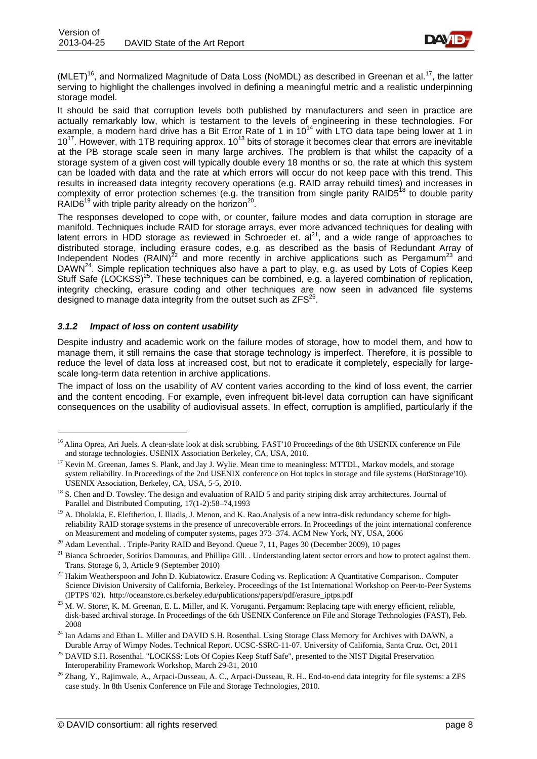

(MLET)<sup>16</sup>, and Normalized Magnitude of Data Loss (NoMDL) as described in Greenan et al.<sup>17</sup>, the latter serving to highlight the challenges involved in defining a meaningful metric and a realistic underpinning storage model.

It should be said that corruption levels both published by manufacturers and seen in practice are actually remarkably low, which is testament to the levels of engineering in these technologies. For example, a modern hard drive has a Bit Error Rate of 1 in 10<sup>14</sup> with LTO data tape being lower at 1 in 210<sup>17</sup>. However, with 1TB requiring approx. 10<sup>13</sup> bits of storage it becomes clear that errors are inevitable at the PB storage scale seen in many large archives. The problem is that whilst the capacity of a storage system of a given cost will typically double every 18 months or so, the rate at which this system can be loaded with data and the rate at which errors will occur do not keep pace with this trend. This results in increased data integrity recovery operations (e.g. RAID array rebuild times) and increases in complexity of error protection schemes (e.g. the transition from single parity RAID5<sup>18</sup> to double parity RAID6 $^{19}$  with triple parity already on the horizon<sup>20</sup>.

The responses developed to cope with, or counter, failure modes and data corruption in storage are manifold. Techniques include RAID for storage arrays, ever more advanced techniques for dealing with latent errors in HDD storage as reviewed in Schroeder et. al<sup>21</sup>, and a wide range of approaches to distributed storage, including erasure codes, e.g. as described as the basis of Redundant Array of Independent Nodes  $(RAIN)^{22}$  and more recently in archive applications such as Pergamum<sup>23</sup> and DAWN<sup>24</sup>. Simple replication techniques also have a part to play, e.g. as used by Lots of Copies Keep Stuff Safe (LOCKSS)<sup>25</sup>. These techniques can be combined, e.g. a layered combination of replication, integrity checking, erasure coding and other techniques are now seen in advanced file systems designed to manage data integrity from the outset such as  $ZFS^{26}$ .

#### <span id="page-7-0"></span>*3.1.2 Impact of loss on content usability*

1

Despite industry and academic work on the failure modes of storage, how to model them, and how to manage them, it still remains the case that storage technology is imperfect. Therefore, it is possible to reduce the level of data loss at increased cost, but not to eradicate it completely, especially for largescale long-term data retention in archive applications.

The impact of loss on the usability of AV content varies according to the kind of loss event, the carrier and the content encoding. For example, even infrequent bit-level data corruption can have significant consequences on the usability of audiovisual assets. In effect, corruption is amplified, particularly if the

<sup>&</sup>lt;sup>16</sup> Alina Oprea, Ari Juels. A clean-slate look at disk scrubbing. FAST'10 Proceedings of the 8th USENIX conference on File and storage technologies. USENIX Association Berkeley, CA, USA, 2010.

<sup>&</sup>lt;sup>17</sup> Kevin M. Greenan, James S. Plank, and Jay J. Wylie. Mean time to meaningless: MTTDL, Markov models, and storage system reliability. In Proceedings of the 2nd USENIX conference on Hot topics in storage and file systems (HotStorage'10). USENIX Association, Berkeley, CA, USA, 5-5, 2010.

<sup>&</sup>lt;sup>18</sup> S. Chen and D. Towsley. The design and evaluation of RAID 5 and parity striping disk array architectures. Journal of Parallel and Distributed Computing, 17(1-2):58–74,1993

<sup>&</sup>lt;sup>19</sup> A. Dholakia, E. Eleftheriou, I. Iliadis, J. Menon, and K. Rao.Analysis of a new intra-disk redundancy scheme for highreliability RAID storage systems in the presence of unrecoverable errors. In Proceedings of the joint international conference on Measurement and modeling of computer systems, pages 373–374. ACM New York, NY, USA, 2006

<sup>&</sup>lt;sup>20</sup> Adam Leventhal. . Triple-Parity RAID and Beyond. Queue 7, 11, Pages 30 (December 2009), 10 pages

 $^{21}$  Bianca Schroeder, Sotirios Damouras, and Phillipa Gill. . Understanding latent sector errors and how to protect against them. Trans. Storage 6, 3, Article 9 (September 2010)

<sup>&</sup>lt;sup>22</sup> Hakim Weatherspoon and John D. Kubiatowicz. Erasure Coding vs. Replication: A Quantitative Comparison.. Computer Science Division University of California, Berkeley. Proceedings of the 1st International Workshop on Peer-to-Peer Systems (IPTPS '02). [http://oceanstore.cs.berkeley.edu/publications/papers/pdf/erasure\\_iptps.pdf](http://oceanstore.cs.berkeley.edu/publications/papers/pdf/erasure_iptps.pdf)

<sup>&</sup>lt;sup>23</sup> M. W. Storer, K. M. Greenan, E. L. Miller, and K. Voruganti. Pergamum: Replacing tape with energy efficient, reliable, disk-based archival storage. In Proceedings of the 6th USENIX Conference on File and Storage Technologies (FAST), Feb. 2008

<sup>&</sup>lt;sup>24</sup> Ian Adams and Ethan L. Miller and DAVID S.H. Rosenthal. Using Storage Class Memory for Archives with DAWN, a Durable Array of Wimpy Nodes. Technical Report. UCSC-SSRC-11-07. University of California, Santa Cruz. Oct, 2011

<sup>&</sup>lt;sup>25</sup> DAVID S.H. Rosenthal. "LOCKSS: Lots Of Copies Keep Stuff Safe", presented to the NIST Digital Preservation Interoperability Framework Workshop, March 29-31, 2010

<sup>&</sup>lt;sup>26</sup> Zhang, Y., Rajimwale, A., Arpaci-Dusseau, A. C., Arpaci-Dusseau, R. H.. End-to-end data integrity for file systems: a ZFS case study. In 8th Usenix Conference on File and Storage Technologies, 2010.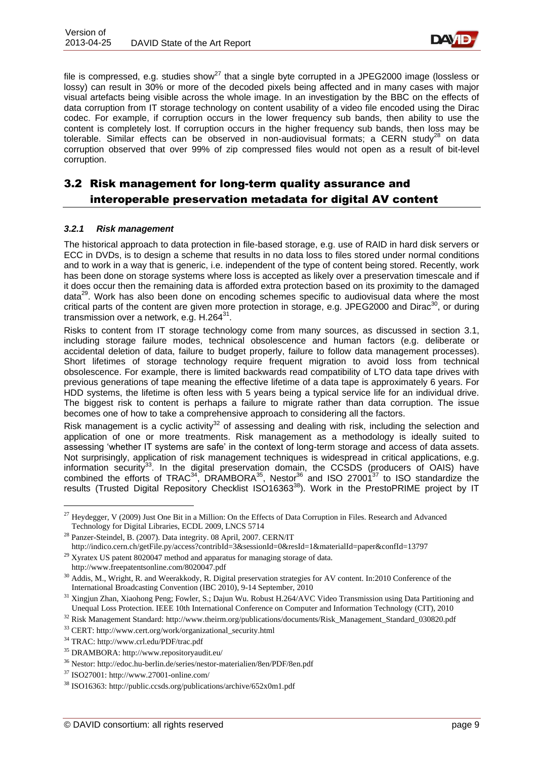

file is compressed, e.g. studies show<sup>27</sup> that a single byte corrupted in a JPEG2000 image (lossless or lossy) can result in 30% or more of the decoded pixels being affected and in many cases with major visual artefacts being visible across the whole image. In an investigation by the BBC on the effects of data corruption from IT storage technology on content usability of a video file encoded using the Dirac codec. For example, if corruption occurs in the lower frequency sub bands, then ability to use the content is completely lost. If corruption occurs in the higher frequency sub bands, then loss may be tolerable. Similar effects can be observed in non-audiovisual formats: a CERN study<sup>28</sup> on data corruption observed that over 99% of zip compressed files would not open as a result of bit-level corruption.

## <span id="page-8-0"></span>3.2 Risk management for long-term quality assurance and interoperable preservation metadata for digital AV content

#### <span id="page-8-1"></span>*3.2.1 Risk management*

The historical approach to data protection in file-based storage, e.g. use of RAID in hard disk servers or ECC in DVDs, is to design a scheme that results in no data loss to files stored under normal conditions and to work in a way that is generic, i.e. independent of the type of content being stored. Recently, work has been done on storage systems where loss is accepted as likely over a preservation timescale and if it does occur then the remaining data is afforded extra protection based on its proximity to the damaged data<sup>29</sup>. Work has also been done on encoding schemes specific to audiovisual data where the most critical parts of the content are given more protection in storage, e.g. JPEG2000 and Dirac<sup>30</sup>, or during transmission over a network, e.g.  $H.264^{31}$ .

Risks to content from IT storage technology come from many sources, as discussed in section [3.1,](#page-6-1) including storage failure modes, technical obsolescence and human factors (e.g. deliberate or accidental deletion of data, failure to budget properly, failure to follow data management processes). Short lifetimes of storage technology require frequent migration to avoid loss from technical obsolescence. For example, there is limited backwards read compatibility of LTO data tape drives with previous generations of tape meaning the effective lifetime of a data tape is approximately 6 years. For HDD systems, the lifetime is often less with 5 years being a typical service life for an individual drive. The biggest risk to content is perhaps a failure to migrate rather than data corruption. The issue becomes one of how to take a comprehensive approach to considering all the factors.

Risk management is a cyclic activity<sup>32</sup> of assessing and dealing with risk, including the selection and application of one or more treatments. Risk management as a methodology is ideally suited to assessing 'whether IT systems are safe' in the context of long-term storage and access of data assets. Not surprisingly, application of risk management techniques is widespread in critical applications, e.g. information security<sup>33</sup>. In the digital preservation domain, the CCSDS (producers of OAIS) have combined the efforts of TRAC<sup>34</sup>, DRAMBORA<sup>35</sup>, Nestor<sup>36</sup> and ISO 27001<sup>37</sup> to ISO standardize the results (Trusted Digital Repository Checklist ISO16363<sup>38</sup>). Work in the PrestoPRIME project by IT

<sup>&</sup>lt;sup>27</sup> Heydegger, V (2009) Just One Bit in a Million: On the Effects of Data Corruption in Files. Research and Advanced Technology for Digital Libraries, ECDL 2009, LNCS 5714

<sup>28</sup> Panzer-Steindel, B. (2007). Data integrity. 08 April, 2007. CERN/IT <http://indico.cern.ch/getFile.py/access?contribId=3&sessionId=0&resId=1&materialId=paper&confId=13797>

 $^{29}$  Xyratex US patent 8020047 method and apparatus for managing storage of data.

<http://www.freepatentsonline.com/8020047.pdf>

<sup>&</sup>lt;sup>30</sup> Addis, M., Wright, R. and Weerakkody, R. Digital preservation strategies for AV content. In:2010 Conference of the International Broadcasting Convention (IBC 2010), 9-14 September, 2010

<sup>&</sup>lt;sup>31</sup> Xingjun Zhan, Xiaohong Peng; Fowler, S.; Dajun Wu. Robust H.264/AVC Video Transmission using Data Partitioning and Unequal Loss Protection. IEEE 10th International Conference on Computer and Information Technology (CIT), 2010

<sup>&</sup>lt;sup>32</sup> Risk Management Standar[d:](http://www.theirm.org/publications/documents/Risk_Management_Standard_030820.pdf) [http://www.theirm.org/publications/documents/Risk\\_Management\\_Standard\\_030820.pdf](http://www.theirm.org/publications/documents/Risk_Management_Standard_030820.pdf)

<sup>33</sup> CER[T:](http://www.cert.org/work/organizational_security.html) [http://www.cert.org/work/organizational\\_security.html](http://www.cert.org/work/organizational_security.html)

<sup>34</sup> TRA[C:](http://www.crl.edu/PDF/trac.pdf) <http://www.crl.edu/PDF/trac.pdf>

<sup>35</sup> DRAMBOR[A:](http://www.repositoryaudit.eu/) <http://www.repositoryaudit.eu/>

<sup>36</sup> Nesto[r:](http://edoc.hu-berlin.de/series/nestor-materialien/8en/PDF/8en.pdf) <http://edoc.hu-berlin.de/series/nestor-materialien/8en/PDF/8en.pdf>

<sup>37</sup> ISO2700[1:](http://www.27001-online.com/) <http://www.27001-online.com/>

<sup>38</sup> ISO1636[3:](http://public.ccsds.org/publications/archive/652x0m1.pdf) <http://public.ccsds.org/publications/archive/652x0m1.pdf>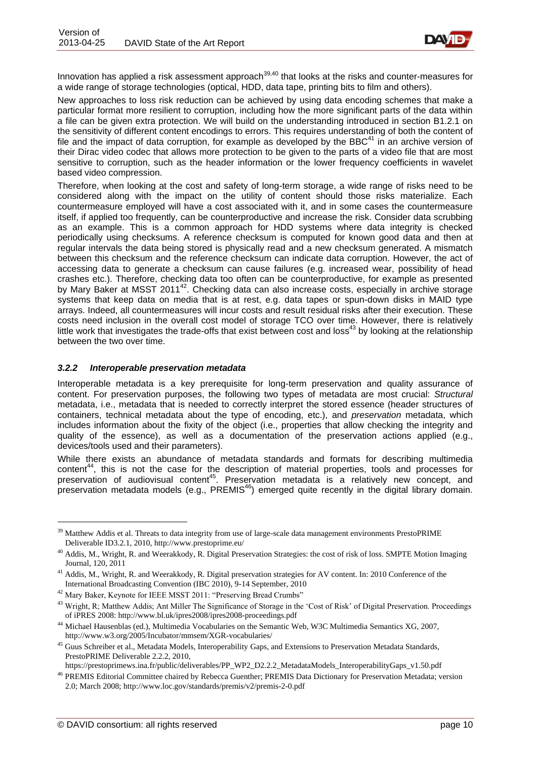

Innovation has applied a risk assessment approach<sup>39,40</sup> that looks at the risks and counter-measures for a wide range of storage technologies (optical, HDD, data tape, printing bits to film and others).

New approaches to loss risk reduction can be achieved by using data encoding schemes that make a particular format more resilient to corruption, including how the more significant parts of the data within a file can be given extra protection. We will build on the understanding introduced in section B1.2.1 on the sensitivity of different content encodings to errors. This requires understanding of both the content of file and the impact of data corruption, for example as developed by the BBC $^{41}$  in an archive version of their Dirac video codec that allows more protection to be given to the parts of a video file that are most sensitive to corruption, such as the header information or the lower frequency coefficients in wavelet based video compression.

Therefore, when looking at the cost and safety of long-term storage, a wide range of risks need to be considered along with the impact on the utility of content should those risks materialize. Each countermeasure employed will have a cost associated with it, and in some cases the countermeasure itself, if applied too frequently, can be counterproductive and increase the risk. Consider data scrubbing as an example. This is a common approach for HDD systems where data integrity is checked periodically using checksums. A reference checksum is computed for known good data and then at regular intervals the data being stored is physically read and a new checksum generated. A mismatch between this checksum and the reference checksum can indicate data corruption. However, the act of accessing data to generate a checksum can cause failures (e.g. increased wear, possibility of head crashes etc.). Therefore, checking data too often can be counterproductive, for example as presented by Mary Baker at MSST 2011<sup>42</sup>. Checking data can also increase costs, especially in archive storage systems that keep data on media that is at rest, e.g. data tapes or spun-down disks in MAID type arrays. Indeed, all countermeasures will incur costs and result residual risks after their execution. These costs need inclusion in the overall cost model of storage TCO over time. However, there is relatively little work that investigates the trade-offs that exist between cost and loss<sup>43</sup> by looking at the relationship between the two over time.

#### <span id="page-9-0"></span>*3.2.2 Interoperable preservation metadata*

Interoperable metadata is a key prerequisite for long-term preservation and quality assurance of content. For preservation purposes, the following two types of metadata are most crucial: *Structural*  metadata, i.e., metadata that is needed to correctly interpret the stored essence (header structures of containers, technical metadata about the type of encoding, etc.), and *preservation* metadata, which includes information about the fixity of the object (i.e., properties that allow checking the integrity and quality of the essence), as well as a documentation of the preservation actions applied (e.g., devices/tools used and their parameters).

While there exists an abundance of metadata standards and formats for describing multimedia content<sup>44</sup>, this is not the case for the description of material properties, tools and processes for preservation of audiovisual content<sup>45</sup>. Preservation metadata is a relatively new concept, and preservation metadata models (e.g., PREMIS<sup>46</sup>) emerged quite recently in the digital library domain.

<sup>&</sup>lt;sup>39</sup> Matthew Addis et al. Threats to data integrity from use of large-scale data management environments PrestoPRIME Deliverable ID3.2.1, 2010, <http://www.prestoprime.eu/>

<sup>&</sup>lt;sup>40</sup> Addis, M., Wright, R. and Weerakkody, R. Digital Preservation Strategies: the cost of risk of loss. SMPTE Motion Imaging Journal, 120, 2011

 $41$  Addis, M., Wright, R. and Weerakkody, R. Digital preservation strategies for AV content. In: 2010 Conference of the International Broadcasting Convention (IBC 2010), 9-14 September, 2010

<sup>&</sup>lt;sup>42</sup> Mary Baker, Keynote for IEEE MSST 2011: "Preserving Bread Crumbs"

<sup>&</sup>lt;sup>43</sup> Wright, R; Matthew Addis; Ant Miller The Significance of Storage in the 'Cost of Risk' of Digital Preservation. Proceedings of iPRES 2008: <http://www.bl.uk/ipres2008/ipres2008-proceedings.pdf>

<sup>&</sup>lt;sup>44</sup> Michael Hausenblas (ed.)[,](http://www.w3.org/2005/Incubator/mmsem/XGR-vocabularies/) Multimedia Vocabularies on the Semantic Web, W3C Multimedia Semantics XG, 2007, <http://www.w3.org/2005/Incubator/mmsem/XGR-vocabularies/>

<sup>&</sup>lt;sup>45</sup> Guus Schreiber et al., Metadata Models, Interoperability Gaps, and Extensions to Preservation Metadata Standards, PrestoPRIME Deliverable 2.2.2, 201[0,](https://prestoprimews.ina.fr/public/deliverables/PP_WP2_D2.2.2_MetadataModels_InteroperabilityGaps_v1.50.pdf)

[https://prestoprimews.ina.fr/public/deliverables/PP\\_WP2\\_D2.2.2\\_MetadataModels\\_InteroperabilityGaps\\_v1.50.pdf](https://prestoprimews.ina.fr/public/deliverables/PP_WP2_D2.2.2_MetadataModels_InteroperabilityGaps_v1.50.pdf) <sup>46</sup> PREMIS Editorial Committee chaired by Rebecca Guenther; PREMIS Data Dictionary for Preservation Metadata; version

<sup>2.0;</sup> March 200[8;](http://www.loc.gov/standards/premis/v2/premis-2-0.pdf) <http://www.loc.gov/standards/premis/v2/premis-2-0.pdf>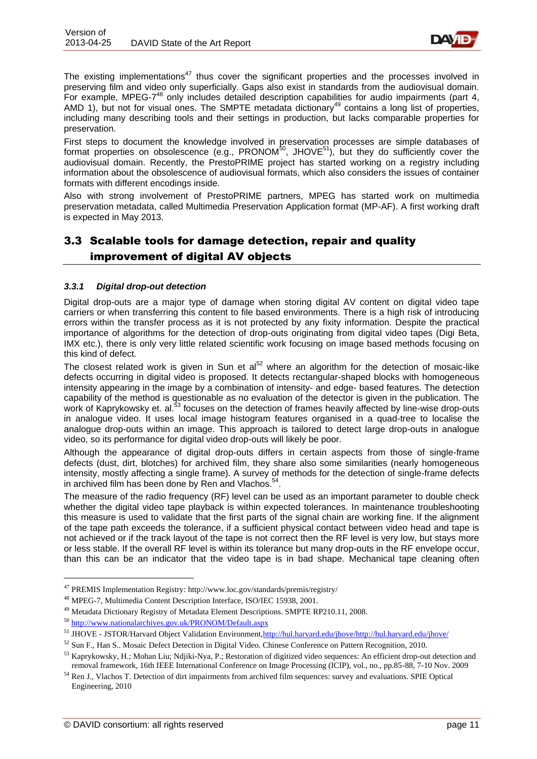

The existing implementations<sup>47</sup> thus cover the significant properties and the processes involved in preserving film and video only superficially. Gaps also exist in standards from the audiovisual domain. For example, MPEG-7<sup>48</sup> only includes detailed description capabilities for audio impairments (part 4, AMD 1), but not for visual ones. The SMPTE metadata dictionary<sup>49</sup> contains a long list of properties, including many describing tools and their settings in production, but lacks comparable properties for preservation.

First steps to document the knowledge involved in preservation processes are simple databases of format properties on obsolescence (e.g., PRONOM<sup>50</sup>, JHOVE<sup>51</sup>), but they do sufficiently cover the audiovisual domain. Recently, the PrestoPRIME project has started working on a registry including information about the obsolescence of audiovisual formats, which also considers the issues of container formats with different encodings inside.

Also with strong involvement of PrestoPRIME partners, MPEG has started work on multimedia preservation metadata, called Multimedia Preservation Application format (MP-AF). A first working draft is expected in May 2013.

## <span id="page-10-0"></span>3.3 Scalable tools for damage detection, repair and quality improvement of digital AV objects

### <span id="page-10-1"></span>*3.3.1 Digital drop-out detection*

Digital drop-outs are a major type of damage when storing digital AV content on digital video tape carriers or when transferring this content to file based environments. There is a high risk of introducing errors within the transfer process as it is not protected by any fixity information. Despite the practical importance of algorithms for the detection of drop-outs originating from digital video tapes (Digi Beta, IMX etc.), there is only very little related scientific work focusing on image based methods focusing on this kind of defect.

The closest related work is given in Sun et  $al<sup>52</sup>$  where an algorithm for the detection of mosaic-like defects occurring in digital video is proposed. It detects rectangular-shaped blocks with homogeneous intensity appearing in the image by a combination of intensity- and edge- based features. The detection capability of the method is questionable as no evaluation of the detector is given in the publication. The work of Kaprykowsky et. al.<sup>53</sup> focuses on the detection of frames heavily affected by line-wise drop-outs in analogue video. It uses local image histogram features organised in a quad-tree to localise the analogue drop-outs within an image. This approach is tailored to detect large drop-outs in analogue video, so its performance for digital video drop-outs will likely be poor.

Although the appearance of digital drop-outs differs in certain aspects from those of single-frame defects (dust, dirt, blotches) for archived film, they share also some similarities (nearly homogeneous intensity, mostly affecting a single frame). A survey of methods for the detection of single-frame defects in archived film has been done by Ren and Vlachos.<sup>54</sup>.

The measure of the radio frequency (RF) level can be used as an important parameter to double check whether the digital video tape playback is within expected tolerances. In maintenance troubleshooting this measure is used to validate that the first parts of the signal chain are working fine. If the alignment of the tape path exceeds the tolerance, if a sufficient physical contact between video head and tape is not achieved or if the track layout of the tape is not correct then the RF level is very low, but stays more or less stable. If the overall RF level is within its tolerance but many drop-outs in the RF envelope occur, than this can be an indicator that the video tape is in bad shape. Mechanical tape cleaning often

<sup>47</sup> PREMIS Implementation Registry: <http://www.loc.gov/standards/premis/registry/>

<sup>48</sup> MPEG-7, Multimedia Content Description Interface, ISO/IEC 15938, 2001.

<sup>&</sup>lt;sup>49</sup> Metadata Dictionary Registry of Metadata Element Descriptions. SMPTE RP210.11, 2008.

<sup>50</sup> <http://www.nationalarchives.gov.uk/PRONOM/Default.aspx>

<sup>51</sup> JHOVE - JSTOR/Harvard Object Validation Environment, http://hul.harvard.edu/jhove/http://hul.harvard.edu/jhove/

<sup>52</sup> Sun F., Han S.. Mosaic Defect Detection in Digital Video. Chinese Conference on Pattern Recognition, 2010.

<sup>53</sup> Kaprykowsky, H.; Mohan Liu; Ndjiki-Nya, P.; Restoration of digitized video sequences: An efficient drop-out detection and removal framework, 16th IEEE International Conference on Image Processing (ICIP), vol., no., pp.85-88, 7-10 Nov. 2009

<sup>54</sup> Ren J., Vlachos T. Detection of dirt impairments from archived film sequences: survey and evaluations. SPIE Optical Engineering, 2010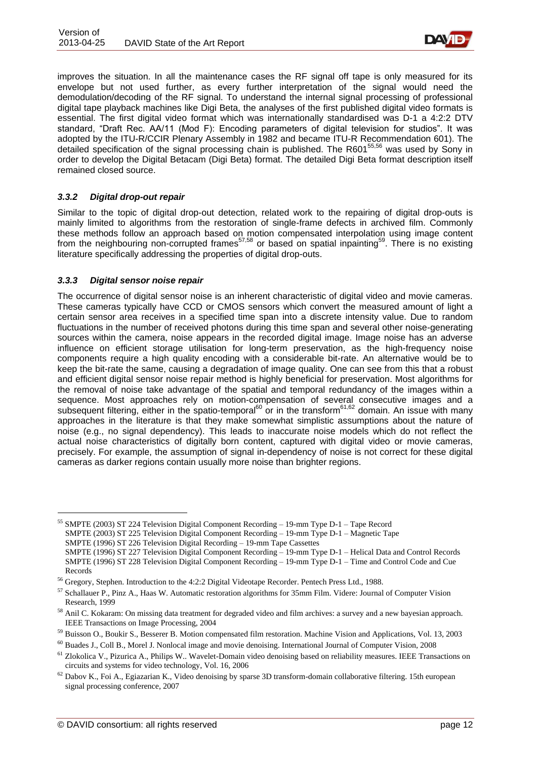

improves the situation. In all the maintenance cases the RF signal off tape is only measured for its envelope but not used further, as every further interpretation of the signal would need the demodulation/decoding of the RF signal. To understand the internal signal processing of professional digital tape playback machines like Digi Beta, the analyses of the first published digital video formats is essential. The first digital video format which was internationally standardised was D-1 a 4:2:2 DTV standard, "Draft Rec. AA/11 (Mod F): Encoding parameters of digital television for studios". It was adopted by the ITU-R/CCIR Plenary Assembly in 1982 and became ITU-R Recommendation 601). The detailed specification of the signal processing chain is published. The R601<sup>55,56</sup> was used by Sony in order to develop the Digital Betacam (Digi Beta) format. The detailed Digi Beta format description itself remained closed source.

### <span id="page-11-0"></span>*3.3.2 Digital drop-out repair*

Similar to the topic of digital drop-out detection, related work to the repairing of digital drop-outs is mainly limited to algorithms from the restoration of single-frame defects in archived film. Commonly these methods follow an approach based on motion compensated interpolation using image content from the neighbouring non-corrupted frames<sup>57,58</sup> or based on spatial inpainting<sup>59</sup>. There is no existing literature specifically addressing the properties of digital drop-outs.

#### <span id="page-11-1"></span>*3.3.3 Digital sensor noise repair*

1

The occurrence of digital sensor noise is an inherent characteristic of digital video and movie cameras. These cameras typically have CCD or CMOS sensors which convert the measured amount of light a certain sensor area receives in a specified time span into a discrete intensity value. Due to random fluctuations in the number of received photons during this time span and several other noise-generating sources within the camera, noise appears in the recorded digital image. Image noise has an adverse influence on efficient storage utilisation for long-term preservation, as the high-frequency noise components require a high quality encoding with a considerable bit-rate. An alternative would be to keep the bit-rate the same, causing a degradation of image quality. One can see from this that a robust and efficient digital sensor noise repair method is highly beneficial for preservation. Most algorithms for the removal of noise take advantage of the spatial and temporal redundancy of the images within a sequence. Most approaches rely on motion-compensation of several consecutive images and a subsequent filtering, either in the spatio-temporal<sup>60</sup> or in the transform<sup>61,62</sup> domain. An issue with many approaches in the literature is that they make somewhat simplistic assumptions about the nature of noise (e.g., no signal dependency). This leads to inaccurate noise models which do not reflect the actual noise characteristics of digitally born content, captured with digital video or movie cameras, precisely. For example, the assumption of signal in-dependency of noise is not correct for these digital cameras as darker regions contain usually more noise than brighter regions.

<sup>55</sup> SMPTE (2003) ST 224 Television Digital Component Recording – 19-mm Type D-1 – Tape Record SMPTE (2003) ST 225 Television Digital Component Recording – 19-mm Type D-1 – Magnetic Tape SMPTE (1996) ST 226 Television Digital Recording – 19-mm Tape Cassettes SMPTE (1996) ST 227 Television Digital Component Recording – 19-mm Type D-1 – Helical Data and Control Records SMPTE (1996) ST 228 Television Digital Component Recording – 19-mm Type D-1 – Time and Control Code and Cue Records

<sup>56</sup> Gregory, Stephen. Introduction to the 4:2:2 Digital Videotape Recorder. Pentech Press Ltd., 1988.

<sup>57</sup> Schallauer P., Pinz A., Haas W. Automatic restoration algorithms for 35mm Film. Videre: Journal of Computer Vision Research, 1999

<sup>58</sup> Anil C. Kokaram: On missing data treatment for degraded video and film archives: a survey and a new bayesian approach. IEEE Transactions on Image Processing, 2004

<sup>59</sup> Buisson O., Boukir S., Besserer B. Motion compensated film restoration. Machine Vision and Applications, Vol. 13, 2003

<sup>60</sup> Buades J., Coll B., Morel J. Nonlocal image and movie denoising. International Journal of Computer Vision, 2008

<sup>61</sup> Zlokolica V., Pizurica A., Philips W.. Wavelet-Domain video denoising based on reliability measures. IEEE Transactions on circuits and systems for video technology, Vol. 16, 2006

 $62$  Dabov K., Foi A., Egiazarian K., Video denoising by sparse 3D transform-domain collaborative filtering. 15th european signal processing conference, 2007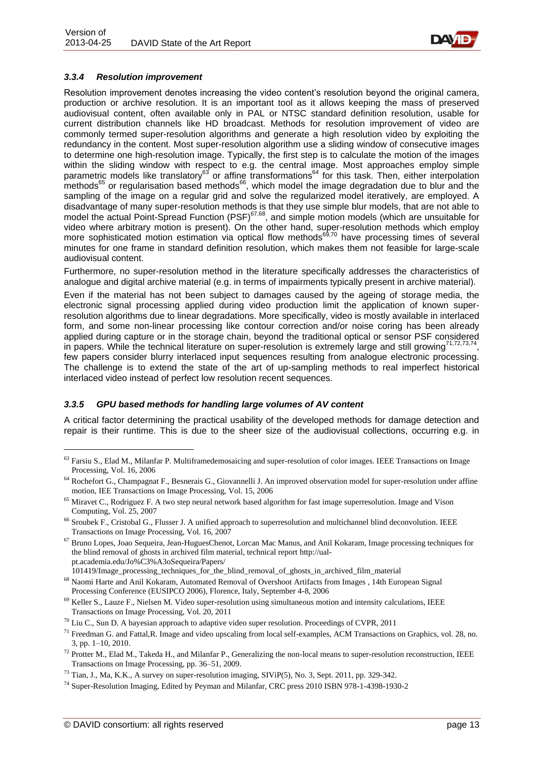

### <span id="page-12-0"></span>*3.3.4 Resolution improvement*

Resolution improvement denotes increasing the video content's resolution beyond the original camera, production or archive resolution. It is an important tool as it allows keeping the mass of preserved audiovisual content, often available only in PAL or NTSC standard definition resolution, usable for current distribution channels like HD broadcast. Methods for resolution improvement of video are commonly termed super-resolution algorithms and generate a high resolution video by exploiting the redundancy in the content. Most super-resolution algorithm use a sliding window of consecutive images to determine one high-resolution image. Typically, the first step is to calculate the motion of the images within the sliding window with respect to e.g. the central image. Most approaches employ simple parametric models like translatory<sup>63</sup> or affine transformations<sup>64</sup> for this task. Then, either interpolation methods<sup>65</sup> or regularisation based methods<sup>66</sup>, which model the image degradation due to blur and the sampling of the image on a regular grid and solve the regularized model iteratively, are employed. A disadvantage of many super-resolution methods is that they use simple blur models, that are not able to model the actual Point-Spread Function (PSF)<sup>67,68</sup>, and simple motion models (which are unsuitable for video where arbitrary motion is present). On the other hand, super-resolution methods which employ more sophisticated motion estimation via optical flow methods<sup>69,70</sup> have processing times of several minutes for one frame in standard definition resolution, which makes them not feasible for large-scale audiovisual content.

Furthermore, no super-resolution method in the literature specifically addresses the characteristics of analogue and digital archive material (e.g. in terms of impairments typically present in archive material).

Even if the material has not been subject to damages caused by the ageing of storage media, the electronic signal processing applied during video production limit the application of known superresolution algorithms due to linear degradations. More specifically, video is mostly available in interlaced form, and some non-linear processing like contour correction and/or noise coring has been already applied during capture or in the storage chain, beyond the traditional optical or sensor PSF considered in papers. While the technical literature on super-resolution is extremely large and still growing $71,72,73,74$ , few papers consider blurry interlaced input sequences resulting from analogue electronic processing. The challenge is to extend the state of the art of up-sampling methods to real imperfect historical interlaced video instead of perfect low resolution recent sequences.

#### <span id="page-12-1"></span>*3.3.5 GPU based methods for handling large volumes of AV content*

A critical factor determining the practical usability of the developed methods for damage detection and repair is their runtime. This is due to the sheer size of the audiovisual collections, occurring e.g. in

<sup>&</sup>lt;sup>63</sup> Farsiu S., Elad M., Milanfar P. Multiframedemosaicing and super-resolution of color images. IEEE Transactions on Image Processing, Vol. 16, 2006

<sup>64</sup> Rochefort G., Champagnat F., Besnerais G., Giovannelli J. An improved observation model for super-resolution under affine motion, IEE Transactions on Image Processing, Vol. 15, 2006

<sup>&</sup>lt;sup>65</sup> Miravet C., Rodriguez F. A two step neural network based algorithm for fast image superresolution. Image and Vison Computing, Vol. 25, 2007

<sup>&</sup>lt;sup>66</sup> Sroubek F., Cristobal G., Flusser J. A unified approach to superresolution and multichannel blind deconvolution. IEEE Transactions on Image Processing, Vol. 16, 2007

<sup>67</sup> Bruno Lopes, Joao Sequeira, Jean-HuguesChenot, Lorcan Mac Manus, and Anil Kokaram, Image processing techniques for the blind removal of ghosts in archived film material, technical report [http://ual](http://ual-pt.academia.edu/Jo%C3%A3oSequeira/Papers/101419/Image_processing_techniques_for_the_blind_removal_of_ghosts_in_archived_film_material)[pt.academia.edu/Jo%C3%A3oSequeira/Papers/](http://ual-pt.academia.edu/Jo%C3%A3oSequeira/Papers/101419/Image_processing_techniques_for_the_blind_removal_of_ghosts_in_archived_film_material)

[<sup>101419/</sup>Image\\_processing\\_techniques\\_for\\_the\\_blind\\_removal\\_of\\_ghosts\\_in\\_archived\\_film\\_material](http://ual-pt.academia.edu/Jo%C3%A3oSequeira/Papers/101419/Image_processing_techniques_for_the_blind_removal_of_ghosts_in_archived_film_material) <sup>68</sup> Naomi Harte and Anil Kokaram, Automated Removal of Overshoot Artifacts from Images , 14th European Signal

Processing Conference (EUSIPCO 2006), Florence, Italy, September 4-8, 2006

 $69$  Keller S., Lauze F., Nielsen M. Video super-resolution using simultaneous motion and intensity calculations, IEEE Transactions on Image Processing, Vol. 20, 2011

 $70$  Liu C., Sun D. A bayesian approach to adaptive video super resolution. Proceedings of CVPR, 2011

<sup>&</sup>lt;sup>71</sup> Freedman G. and Fattal,R. Image and video upscaling from local self-examples, ACM Transactions on Graphics, vol. 28, no. 3, pp. 1–10, 2010.

 $^{72}$  Protter M., Elad M., Takeda H., and Milanfar P., Generalizing the non-local means to super-resolution reconstruction, IEEE Transactions on Image Processing, pp. 36–51, 2009.

<sup>73</sup> Tian, J., Ma, K.K., A survey on super-resolution imaging, SIViP(5), No. 3, Sept. 2011, pp. 329-342.

<sup>74</sup> Super-Resolution Imaging, Edited by Peyman and Milanfar, CRC press 2010 ISBN 978-1-4398-1930-2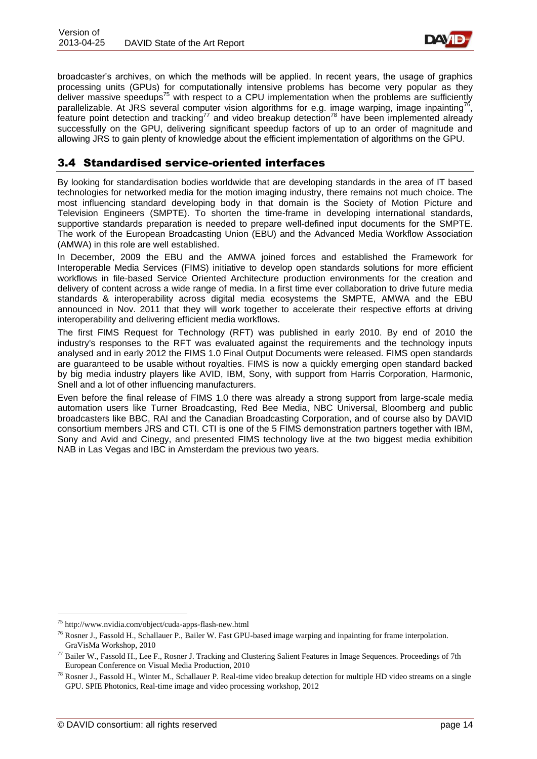

broadcaster's archives, on which the methods will be applied. In recent years, the usage of graphics processing units (GPUs) for computationally intensive problems has become very popular as they deliver massive speedups<sup>75</sup> with respect to a CPU implementation when the problems are sufficiently parallelizable. At JRS several computer vision algorithms for e.g. image warping, image inpainting<sup>76</sup>, feature point detection and tracking<sup>77</sup> and video breakup detection<sup>78</sup> have been implemented already successfully on the GPU, delivering significant speedup factors of up to an order of magnitude and allowing JRS to gain plenty of knowledge about the efficient implementation of algorithms on the GPU.

## <span id="page-13-0"></span>3.4 Standardised service-oriented interfaces

By looking for standardisation bodies worldwide that are developing standards in the area of IT based technologies for networked media for the motion imaging industry, there remains not much choice. The most influencing standard developing body in that domain is the Society of Motion Picture and Television Engineers (SMPTE). To shorten the time-frame in developing international standards, supportive standards preparation is needed to prepare well-defined input documents for the SMPTE. The work of the European Broadcasting Union (EBU) and the Advanced Media Workflow Association (AMWA) in this role are well established.

In December, 2009 the EBU and the AMWA joined forces and established the Framework for Interoperable Media Services (FIMS) initiative to develop open standards solutions for more efficient workflows in file-based Service Oriented Architecture production environments for the creation and delivery of content across a wide range of media. In a first time ever collaboration to drive future media standards & interoperability across digital media ecosystems the SMPTE, AMWA and the EBU announced in Nov. 2011 that they will work together to accelerate their respective efforts at driving interoperability and delivering efficient media workflows.

The first FIMS Request for Technology (RFT) was published in early 2010. By end of 2010 the industry's responses to the RFT was evaluated against the requirements and the technology inputs analysed and in early 2012 the FIMS 1.0 Final Output Documents were released. FIMS open standards are guaranteed to be usable without royalties. FIMS is now a quickly emerging open standard backed by big media industry players like AVID, IBM, Sony, with support from Harris Corporation, Harmonic, Snell and a lot of other influencing manufacturers.

Even before the final release of FIMS 1.0 there was already a strong support from large-scale media automation users like Turner Broadcasting, Red Bee Media, NBC Universal, Bloomberg and public broadcasters like BBC, RAI and the Canadian Broadcasting Corporation, and of course also by DAVID consortium members JRS and CTI. CTI is one of the 5 FIMS demonstration partners together with IBM, Sony and Avid and Cinegy, and presented FIMS technology live at the two biggest media exhibition NAB in Las Vegas and IBC in Amsterdam the previous two years.

-

<sup>75</sup> http://www.nvidia.com/object/cuda-apps-flash-new.html

<sup>&</sup>lt;sup>76</sup> Rosner J., Fassold H., Schallauer P., Bailer W. Fast GPU-based image warping and inpainting for frame interpolation. GraVisMa Workshop, 2010

<sup>77</sup> Bailer W., Fassold H., Lee F., Rosner J. Tracking and Clustering Salient Features in Image Sequences. Proceedings of 7th European Conference on Visual Media Production, 2010

<sup>78</sup> Rosner J., Fassold H., Winter M., Schallauer P. Real-time video breakup detection for multiple HD video streams on a single GPU. SPIE Photonics, Real-time image and video processing workshop, 2012